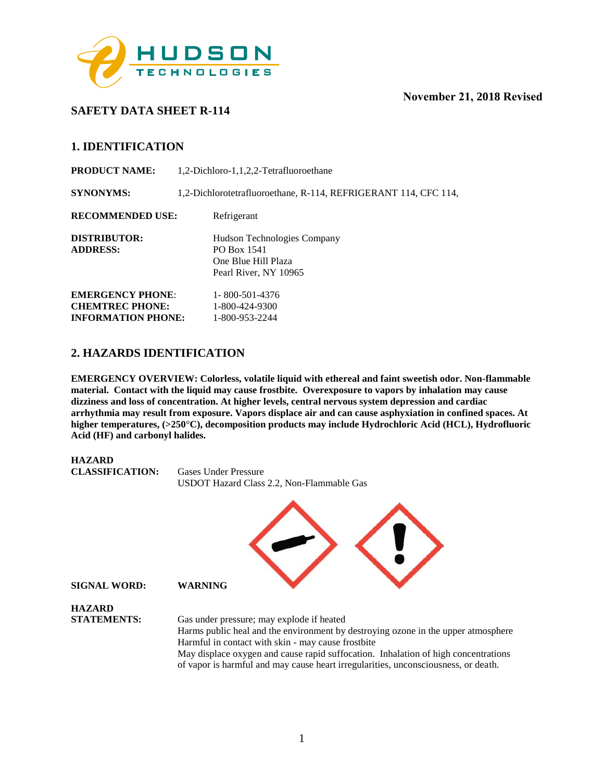

# **SAFETY DATA SHEET R-114**

# **1. IDENTIFICATION**

**PRODUCT NAME:** 1,2-Dichloro-1,1,2,2-Tetrafluoroethane **SYNONYMS:** 1,2-Dichlorotetrafluoroethane, R-114, REFRIGERANT 114, CFC 114, **RECOMMENDED USE:** Refrigerant **DISTRIBUTOR:** Hudson Technologies Company **ADDRESS:** PO Box 1541 One Blue Hill Plaza Pearl River, NY 10965 **EMERGENCY PHONE:** 1-800-501-4376 **CHEMTREC PHONE:** 1-800-424-9300 **INFORMATION PHONE:** 1-800-953-2244

# **2. HAZARDS IDENTIFICATION**

**EMERGENCY OVERVIEW: Colorless, volatile liquid with ethereal and faint sweetish odor. Non-flammable material. Contact with the liquid may cause frostbite. Overexposure to vapors by inhalation may cause dizziness and loss of concentration. At higher levels, central nervous system depression and cardiac arrhythmia may result from exposure. Vapors displace air and can cause asphyxiation in confined spaces. At higher temperatures, (>250**°**C), decomposition products may include Hydrochloric Acid (HCL), Hydrofluoric Acid (HF) and carbonyl halides.** 



of vapor is harmful and may cause heart irregularities, unconsciousness, or death.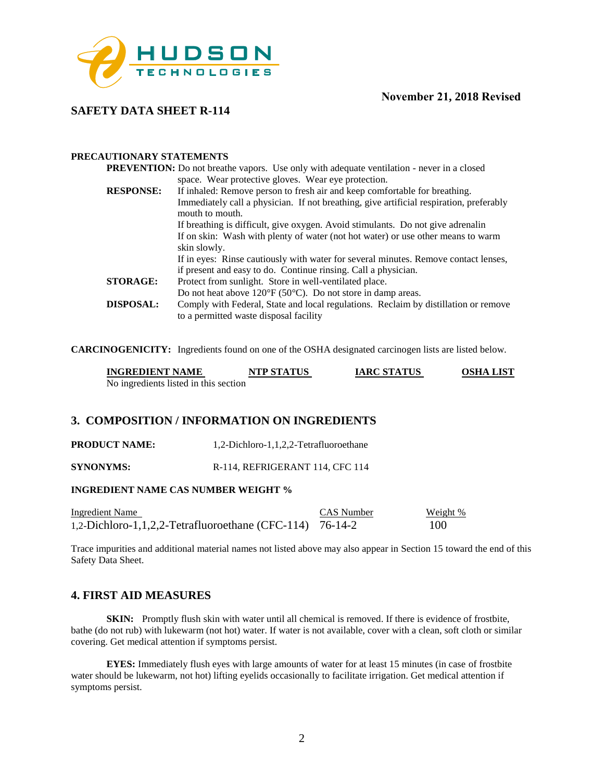

# **SAFETY DATA SHEET R-114**

### **PRECAUTIONARY STATEMENTS**

| <b>PREVENTION:</b> Do not breathe vapors. Use only with adequate ventilation - never in a closed                              |
|-------------------------------------------------------------------------------------------------------------------------------|
| space. Wear protective gloves. Wear eye protection.                                                                           |
| If inhaled: Remove person to fresh air and keep comfortable for breathing.                                                    |
| Immediately call a physician. If not breathing, give artificial respiration, preferably<br>mouth to mouth.                    |
| If breathing is difficult, give oxygen. Avoid stimulants. Do not give adrenal in                                              |
| If on skin: Wash with plenty of water (not hot water) or use other means to warm                                              |
| skin slowly.                                                                                                                  |
| If in eyes: Rinse cautiously with water for several minutes. Remove contact lenses,                                           |
| if present and easy to do. Continue ringing. Call a physician.                                                                |
| Protect from sunlight. Store in well-ventilated place.                                                                        |
| Do not heat above $120^{\circ}F(50^{\circ}C)$ . Do not store in damp areas.                                                   |
| Comply with Federal, State and local regulations. Reclaim by distillation or remove<br>to a permitted waste disposal facility |
|                                                                                                                               |

**CARCINOGENICITY:** Ingredients found on one of the OSHA designated carcinogen lists are listed below.

| <b>INGREDIENT NAME</b>                | <b>NTP STATUS</b> | <b>IARC STATUS</b> | <b>OSHA LIST</b> |
|---------------------------------------|-------------------|--------------------|------------------|
| No ingredients listed in this section |                   |                    |                  |

### **3. COMPOSITION / INFORMATION ON INGREDIENTS**

**PRODUCT NAME:** 1,2-Dichloro-1,1,2,2-Tetrafluoroethane

**SYNONYMS:** R-114, REFRIGERANT 114, CFC 114

### **INGREDIENT NAME CAS NUMBER WEIGHT %**

| <b>Ingredient Name</b>                                     | CAS Number | Weight % |
|------------------------------------------------------------|------------|----------|
| 1,2-Dichloro-1,1,2,2-Tetrafluoroethane (CFC-114) $76-14-2$ |            | 100      |

Trace impurities and additional material names not listed above may also appear in Section 15 toward the end of this Safety Data Sheet.

### **4. FIRST AID MEASURES**

**SKIN:** Promptly flush skin with water until all chemical is removed. If there is evidence of frostbite, bathe (do not rub) with lukewarm (not hot) water. If water is not available, cover with a clean, soft cloth or similar covering. Get medical attention if symptoms persist.

**EYES:** Immediately flush eyes with large amounts of water for at least 15 minutes (in case of frostbite water should be lukewarm, not hot) lifting eyelids occasionally to facilitate irrigation. Get medical attention if symptoms persist.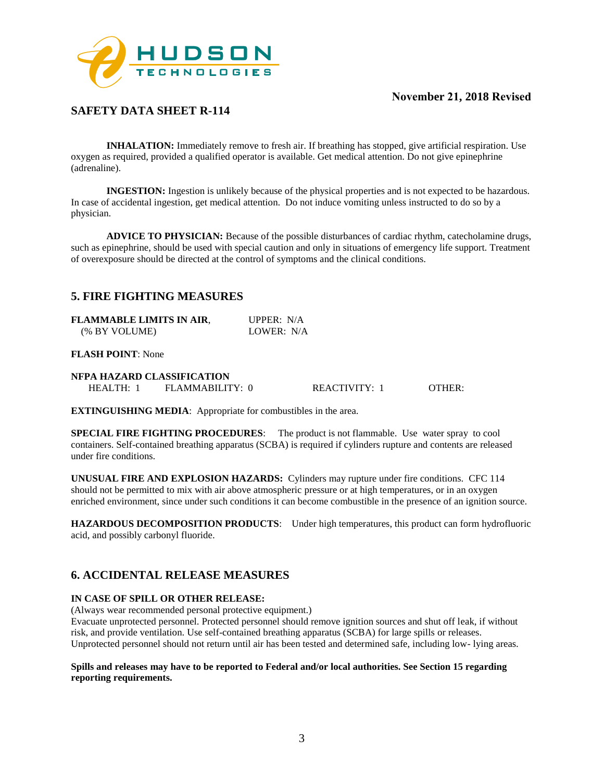

# **SAFETY DATA SHEET R-114**

**INHALATION:** Immediately remove to fresh air. If breathing has stopped, give artificial respiration. Use oxygen as required, provided a qualified operator is available. Get medical attention. Do not give epinephrine (adrenaline).

**INGESTION:** Ingestion is unlikely because of the physical properties and is not expected to be hazardous. In case of accidental ingestion, get medical attention. Do not induce vomiting unless instructed to do so by a physician.

**ADVICE TO PHYSICIAN:** Because of the possible disturbances of cardiac rhythm, catecholamine drugs, such as epinephrine, should be used with special caution and only in situations of emergency life support. Treatment of overexposure should be directed at the control of symptoms and the clinical conditions.

## **5. FIRE FIGHTING MEASURES**

| FLAMMABLE LIMITS IN AIR, | UPPER: $N/A$ |
|--------------------------|--------------|
| (% BY VOLUME)            | LOWER: N/A   |

#### **FLASH POINT**: None

#### **NFPA HAZARD CLASSIFICATION**

HEALTH: 1 FLAMMABILITY: 0 REACTIVITY: 1 OTHER:

**EXTINGUISHING MEDIA**: Appropriate for combustibles in the area.

**SPECIAL FIRE FIGHTING PROCEDURES**: The product is not flammable. Use water spray to cool containers. Self-contained breathing apparatus (SCBA) is required if cylinders rupture and contents are released under fire conditions.

**UNUSUAL FIRE AND EXPLOSION HAZARDS:** Cylinders may rupture under fire conditions. CFC 114 should not be permitted to mix with air above atmospheric pressure or at high temperatures, or in an oxygen enriched environment, since under such conditions it can become combustible in the presence of an ignition source.

**HAZARDOUS DECOMPOSITION PRODUCTS**: Under high temperatures, this product can form hydrofluoric acid, and possibly carbonyl fluoride.

# **6. ACCIDENTAL RELEASE MEASURES**

### **IN CASE OF SPILL OR OTHER RELEASE:**

(Always wear recommended personal protective equipment.)

Evacuate unprotected personnel. Protected personnel should remove ignition sources and shut off leak, if without risk, and provide ventilation. Use self-contained breathing apparatus (SCBA) for large spills or releases. Unprotected personnel should not return until air has been tested and determined safe, including low- lying areas.

#### **Spills and releases may have to be reported to Federal and/or local authorities. See Section 15 regarding reporting requirements.**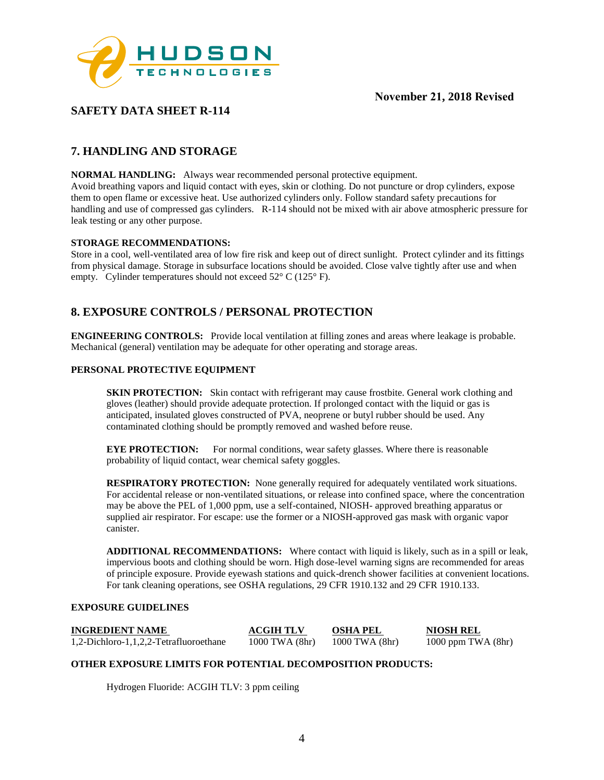

# **SAFETY DATA SHEET R-114**

# **7. HANDLING AND STORAGE**

**NORMAL HANDLING:** Always wear recommended personal protective equipment.

Avoid breathing vapors and liquid contact with eyes, skin or clothing. Do not puncture or drop cylinders, expose them to open flame or excessive heat. Use authorized cylinders only. Follow standard safety precautions for handling and use of compressed gas cylinders. R-114 should not be mixed with air above atmospheric pressure for leak testing or any other purpose.

#### **STORAGE RECOMMENDATIONS:**

Store in a cool, well-ventilated area of low fire risk and keep out of direct sunlight. Protect cylinder and its fittings from physical damage. Storage in subsurface locations should be avoided. Close valve tightly after use and when empty. Cylinder temperatures should not exceed 52° C (125° F).

# **8. EXPOSURE CONTROLS / PERSONAL PROTECTION**

**ENGINEERING CONTROLS:** Provide local ventilation at filling zones and areas where leakage is probable. Mechanical (general) ventilation may be adequate for other operating and storage areas.

#### **PERSONAL PROTECTIVE EQUIPMENT**

**SKIN PROTECTION:** Skin contact with refrigerant may cause frostbite. General work clothing and gloves (leather) should provide adequate protection. If prolonged contact with the liquid or gas is anticipated, insulated gloves constructed of PVA, neoprene or butyl rubber should be used. Any contaminated clothing should be promptly removed and washed before reuse.

**EYE PROTECTION:** For normal conditions, wear safety glasses. Where there is reasonable probability of liquid contact, wear chemical safety goggles.

**RESPIRATORY PROTECTION:** None generally required for adequately ventilated work situations. For accidental release or non-ventilated situations, or release into confined space, where the concentration may be above the PEL of 1,000 ppm, use a self-contained, NIOSH- approved breathing apparatus or supplied air respirator. For escape: use the former or a NIOSH-approved gas mask with organic vapor canister.

**ADDITIONAL RECOMMENDATIONS:** Where contact with liquid is likely, such as in a spill or leak, impervious boots and clothing should be worn. High dose-level warning signs are recommended for areas of principle exposure. Provide eyewash stations and quick-drench shower facilities at convenient locations. For tank cleaning operations, see OSHA regulations, 29 CFR 1910.132 and 29 CFR 1910.133.

#### **EXPOSURE GUIDELINES**

| <b>INGREDIENT NAME</b>                 | <b>ACGIH TLV</b>   | <b>OSHA PEL</b>    | NIOSH REL            |
|----------------------------------------|--------------------|--------------------|----------------------|
| 1,2-Dichloro-1,1,2,2-Tetrafluoroethane | $1000$ TWA $(8hr)$ | $1000$ TWA $(8hr)$ | 1000 ppm TWA $(8hr)$ |

#### **OTHER EXPOSURE LIMITS FOR POTENTIAL DECOMPOSITION PRODUCTS:**

Hydrogen Fluoride: ACGIH TLV: 3 ppm ceiling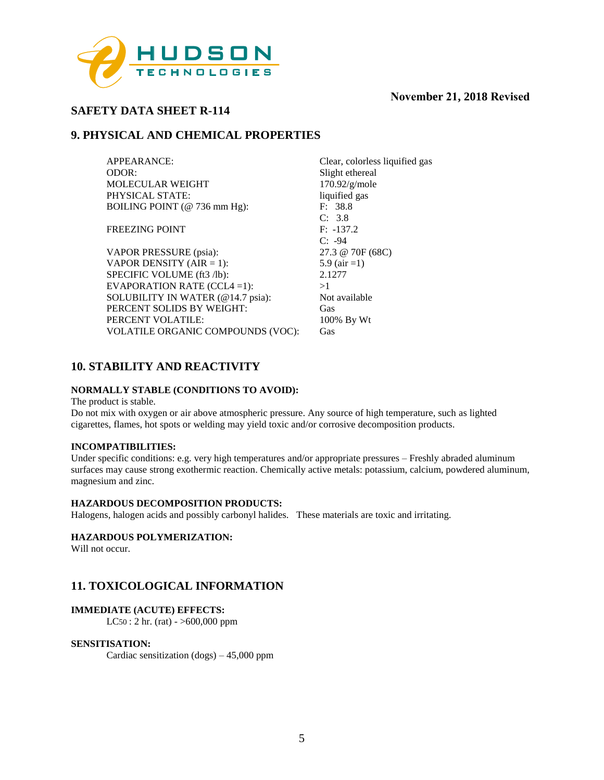

# **SAFETY DATA SHEET R-114**

## **9. PHYSICAL AND CHEMICAL PROPERTIES**

| APPEARANCE:                              | Clear, colorless liquified gas |
|------------------------------------------|--------------------------------|
| ODOR:                                    | Slight ethereal                |
| <b>MOLECULAR WEIGHT</b>                  | 170.92/g/mole                  |
| PHYSICAL STATE:                          | liquified gas                  |
| BOILING POINT (@ 736 mm Hg):             | F: 38.8                        |
|                                          | C: 3.8                         |
| <b>FREEZING POINT</b>                    | $F: -137.2$                    |
|                                          | $C: -94$                       |
| VAPOR PRESSURE (psia):                   | 27.3 @ 70F (68C)               |
| VAPOR DENSITY (AIR = 1):                 | 5.9 (air = 1)                  |
| SPECIFIC VOLUME (ft3 /lb):               | 2.1277                         |
| EVAPORATION RATE $(CCL4 = 1)$ :          | >1                             |
| SOLUBILITY IN WATER (@14.7 psia):        | Not available                  |
| PERCENT SOLIDS BY WEIGHT:                | Gas                            |
| PERCENT VOLATILE:                        | 100% By Wt                     |
| <b>VOLATILE ORGANIC COMPOUNDS (VOC):</b> | Gas                            |
|                                          |                                |

# **10. STABILITY AND REACTIVITY**

### **NORMALLY STABLE (CONDITIONS TO AVOID):**

#### The product is stable.

Do not mix with oxygen or air above atmospheric pressure. Any source of high temperature, such as lighted cigarettes, flames, hot spots or welding may yield toxic and/or corrosive decomposition products.

### **INCOMPATIBILITIES:**

Under specific conditions: e.g. very high temperatures and/or appropriate pressures – Freshly abraded aluminum surfaces may cause strong exothermic reaction. Chemically active metals: potassium, calcium, powdered aluminum, magnesium and zinc.

#### **HAZARDOUS DECOMPOSITION PRODUCTS:**

Halogens, halogen acids and possibly carbonyl halides. These materials are toxic and irritating.

### **HAZARDOUS POLYMERIZATION:**

Will not occur.

### **11. TOXICOLOGICAL INFORMATION**

### **IMMEDIATE (ACUTE) EFFECTS:**

LC50 : 2 hr. (rat) - >600,000 ppm

#### **SENSITISATION:**

Cardiac sensitization (dogs) – 45,000 ppm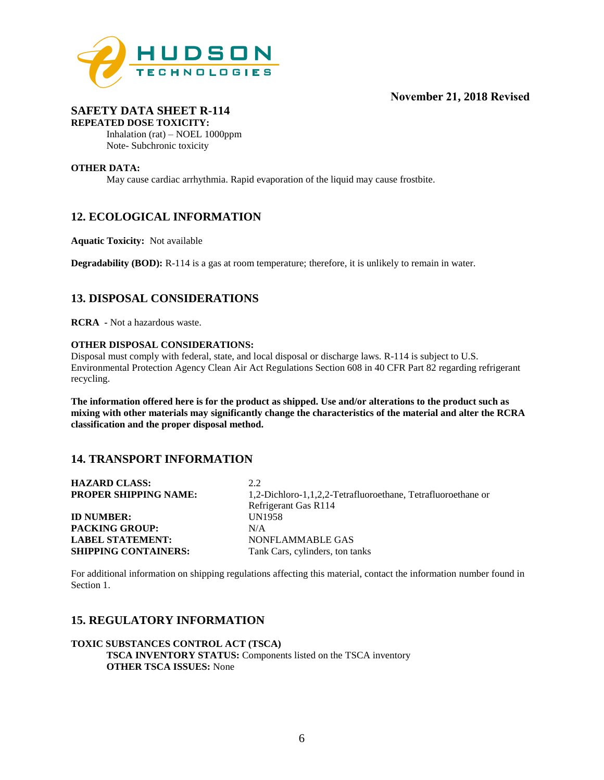

#### **SAFETY DATA SHEET R-114 REPEATED DOSE TOXICITY:**

Inhalation (rat) – NOEL 1000ppm Note- Subchronic toxicity

#### **OTHER DATA:**

May cause cardiac arrhythmia. Rapid evaporation of the liquid may cause frostbite.

# **12. ECOLOGICAL INFORMATION**

**Aquatic Toxicity:** Not available

**Degradability (BOD):** R-114 is a gas at room temperature; therefore, it is unlikely to remain in water.

### **13. DISPOSAL CONSIDERATIONS**

**RCRA -** Not a hazardous waste.

#### **OTHER DISPOSAL CONSIDERATIONS:**

Disposal must comply with federal, state, and local disposal or discharge laws. R-114 is subject to U.S. Environmental Protection Agency Clean Air Act Regulations Section 608 in 40 CFR Part 82 regarding refrigerant recycling.

**The information offered here is for the product as shipped. Use and/or alterations to the product such as mixing with other materials may significantly change the characteristics of the material and alter the RCRA classification and the proper disposal method.** 

### **14. TRANSPORT INFORMATION**

| <b>HAZARD CLASS:</b>         | 2.2.                                                         |
|------------------------------|--------------------------------------------------------------|
| <b>PROPER SHIPPING NAME:</b> | 1,2-Dichloro-1,1,2,2-Tetrafluoroethane, Tetrafluoroethane or |
|                              | Refrigerant Gas R114                                         |
| <b>ID NUMBER:</b>            | <b>UN1958</b>                                                |
| <b>PACKING GROUP:</b>        | N/A                                                          |
| <b>LABEL STATEMENT:</b>      | NONFLAMMABLE GAS                                             |
| <b>SHIPPING CONTAINERS:</b>  | Tank Cars, cylinders, ton tanks                              |

For additional information on shipping regulations affecting this material, contact the information number found in Section 1.

# **15. REGULATORY INFORMATION**

### **TOXIC SUBSTANCES CONTROL ACT (TSCA) TSCA INVENTORY STATUS:** Components listed on the TSCA inventory **OTHER TSCA ISSUES:** None